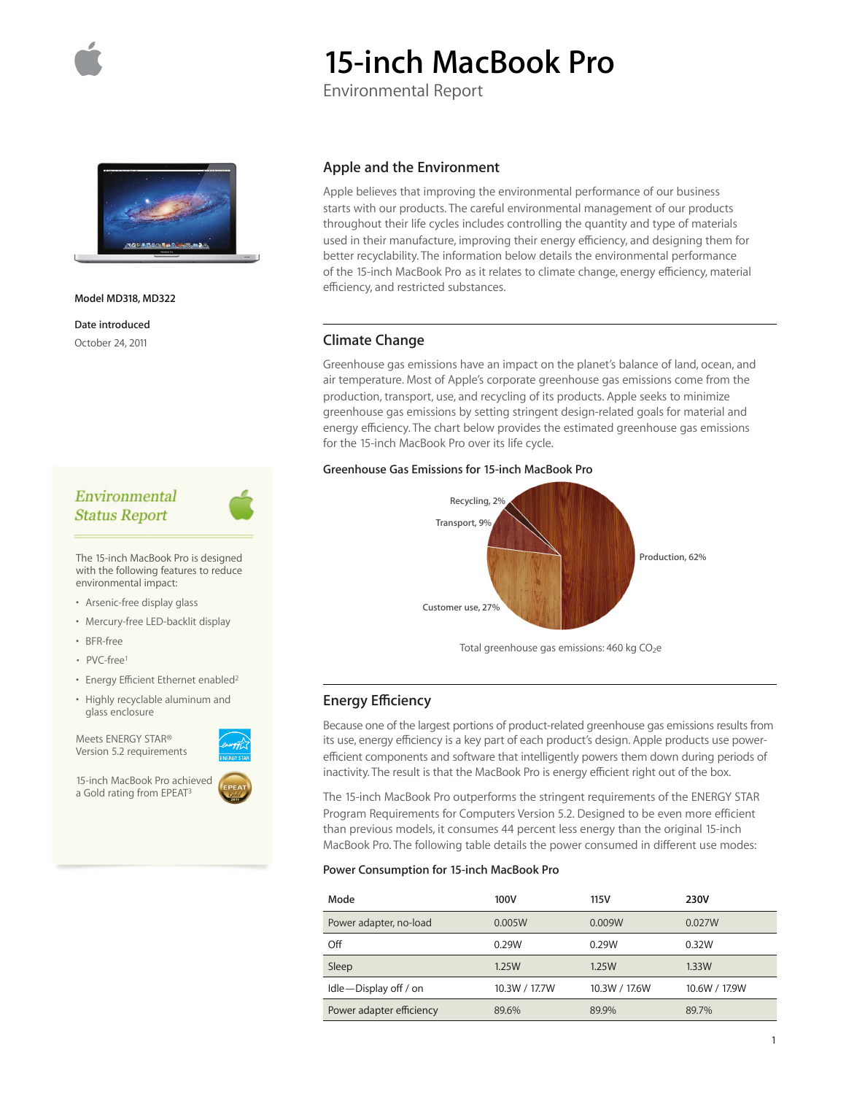

# **15-inch MacBook Pro**

Environmental Report



**Model MD318, MD322**

**Date introduced** October 24, 2011

# Environmental **Status Report**

The 15-inch MacBook Pro is designed with the following features to reduce environmental impact:

- Arsenic-free display glass
- Mercury-free LED-backlit display
- BFR-free
- PVC-free1
- Energy Efficient Ethernet enabled2
- Highly recyclable aluminum and glass enclosure

Meets ENERGY STAR® Version 5.2 requirements

15-inch MacBook Pro achieved a Gold rating from EPEAT<sup>3</sup>



Apple believes that improving the environmental performance of our business starts with our products. The careful environmental management of our products throughout their life cycles includes controlling the quantity and type of materials used in their manufacture, improving their energy efficiency, and designing them for better recyclability. The information below details the environmental performance of the 15-inch MacBook Pro as it relates to climate change, energy efficiency, material efficiency, and restricted substances.

## **Climate Change**

Greenhouse gas emissions have an impact on the planet's balance of land, ocean, and air temperature. Most of Apple's corporate greenhouse gas emissions come from the production, transport, use, and recycling of its products. Apple seeks to minimize greenhouse gas emissions by setting stringent design-related goals for material and energy efficiency. The chart below provides the estimated greenhouse gas emissions for the 15-inch MacBook Pro over its life cycle.

## **Greenhouse Gas Emissions for 15-inch MacBook Pro**



Total greenhouse gas emissions: 460 kg CO<sub>2</sub>e

## **Energy Efficiency**

Because one of the largest portions of product-related greenhouse gas emissions results from its use, energy efficiency is a key part of each product's design. Apple products use powerefficient components and software that intelligently powers them down during periods of inactivity. The result is that the MacBook Pro is energy efficient right out of the box.

The 15-inch MacBook Pro outperforms the stringent requirements of the ENERGY STAR Program Requirements for Computers Version 5.2. Designed to be even more efficient than previous models, it consumes 44 percent less energy than the original 15-inch MacBook Pro. The following table details the power consumed in different use modes:

## **Power Consumption for 15-inch MacBook Pro**

| Mode                     | 100V          | 115V          | 230V          |
|--------------------------|---------------|---------------|---------------|
| Power adapter, no-load   | 0.005W        | 0.009W        | 0.027W        |
| Off                      | 0.29W         | 0.29W         | 0.32W         |
| Sleep                    | 1.25W         | 1.25W         | 1.33W         |
| Idle-Display off / on    | 10.3W / 17.7W | 10.3W / 17.6W | 10.6W / 17.9W |
| Power adapter efficiency | 89.6%         | 89.9%         | 89.7%         |

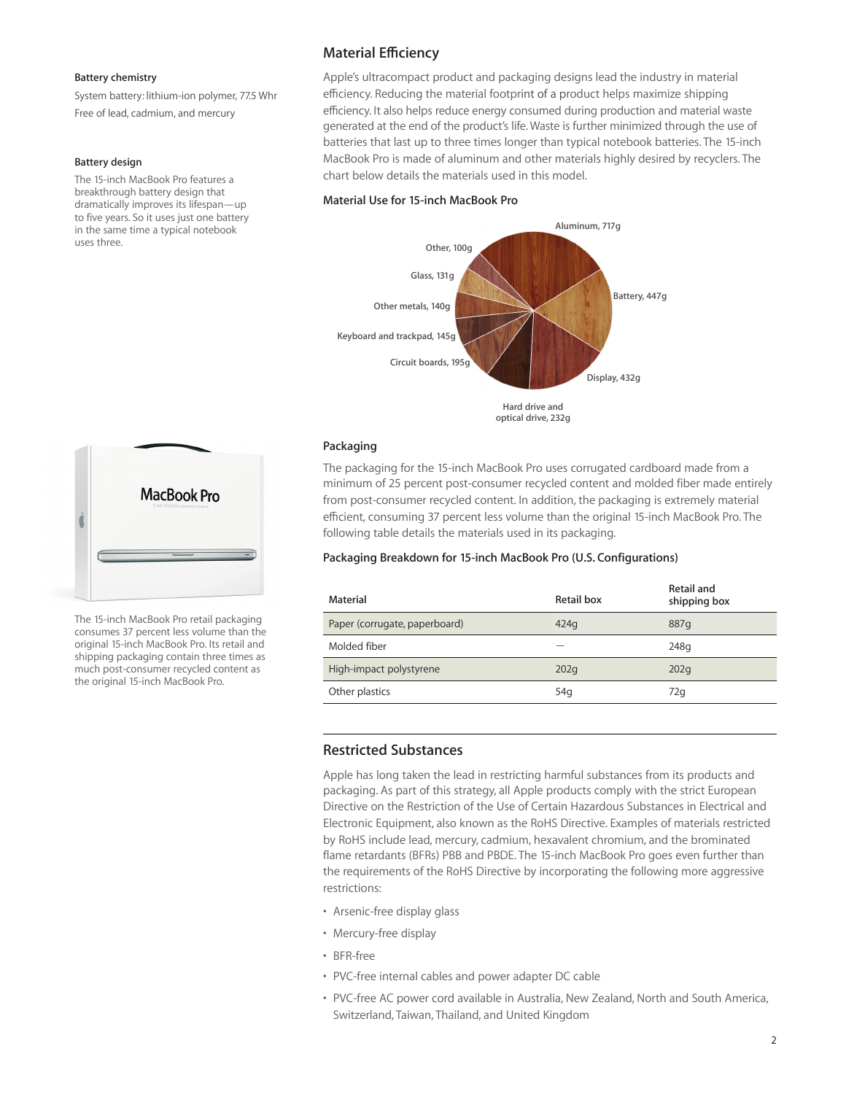#### **Battery chemistry**

System battery: lithium-ion polymer, 77.5 Whr Free of lead, cadmium, and mercury

#### **Battery design**

The 15-inch MacBook Pro features a breakthrough battery design that dramatically improves its lifespan—up to five years. So it uses just one battery in the same time a typical notebook uses three.



The 15-inch MacBook Pro retail packaging consumes 37 percent less volume than the original 15-inch MacBook Pro. Its retail and shipping packaging contain three times as much post-consumer recycled content as the original 15-inch MacBook Pro.

## **Material Efficiency**

Apple's ultracompact product and packaging designs lead the industry in material efficiency. Reducing the material footprint of a product helps maximize shipping efficiency. It also helps reduce energy consumed during production and material waste generated at the end of the product's life. Waste is further minimized through the use of batteries that last up to three times longer than typical notebook batteries. The 15-inch MacBook Pro is made of aluminum and other materials highly desired by recyclers. The chart below details the materials used in this model.

## **Material Use for 15-inch MacBook Pro**



**optical drive, 232g**

#### **Packaging**

The packaging for the 15-inch MacBook Pro uses corrugated cardboard made from a minimum of 25 percent post-consumer recycled content and molded fiber made entirely from post-consumer recycled content. In addition, the packaging is extremely material efficient, consuming 37 percent less volume than the original 15-inch MacBook Pro. The following table details the materials used in its packaging.

#### **Packaging Breakdown for 15-inch MacBook Pro (U.S. Configurations)**

| Material                      | Retail box      | Retail and<br>shipping box |
|-------------------------------|-----------------|----------------------------|
| Paper (corrugate, paperboard) | 424q            | 887q                       |
| Molded fiber                  |                 | 248g                       |
| High-impact polystyrene       | 202q            | 202 <sub>q</sub>           |
| Other plastics                | 54 <sub>g</sub> | 72q                        |

## **Restricted Substances**

Apple has long taken the lead in restricting harmful substances from its products and packaging. As part of this strategy, all Apple products comply with the strict European Directive on the Restriction of the Use of Certain Hazardous Substances in Electrical and Electronic Equipment, also known as the RoHS Directive. Examples of materials restricted by RoHS include lead, mercury, cadmium, hexavalent chromium, and the brominated flame retardants (BFRs) PBB and PBDE. The 15-inch MacBook Pro goes even further than the requirements of the RoHS Directive by incorporating the following more aggressive restrictions:

- Arsenic-free display glass
- Mercury-free display
- BFR-free
- PVC-free internal cables and power adapter DC cable
- PVC-free AC power cord available in Australia, New Zealand, North and South America, Switzerland, Taiwan, Thailand, and United Kingdom